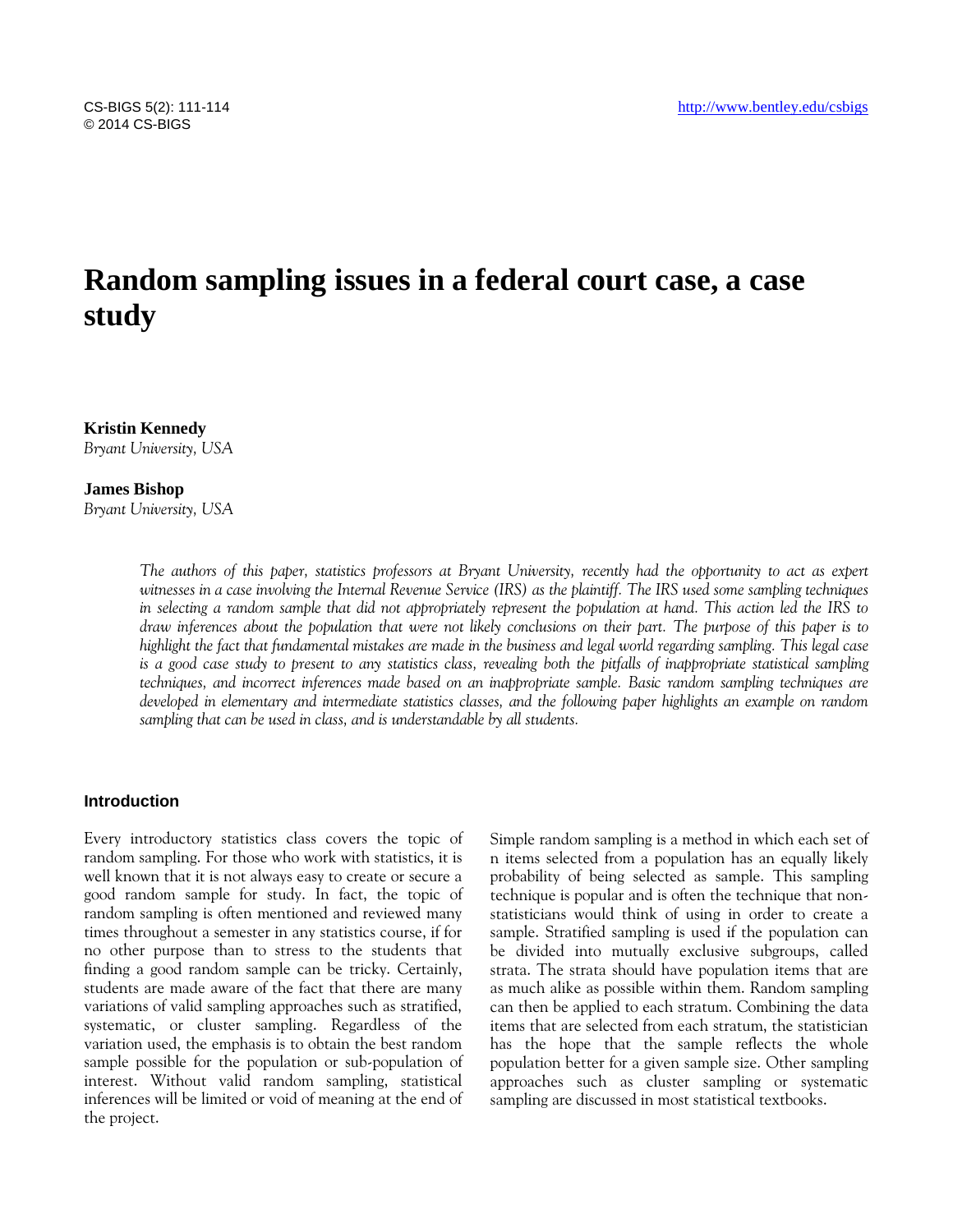# **Random sampling issues in a federal court case, a case study**

**Kristin Kennedy** *Bryant University, USA*

### **James Bishop**

*Bryant University, USA*

*The authors of this paper, statistics professors at Bryant University, recently had the opportunity to act as expert witnesses in a case involving the Internal Revenue Service (IRS) as the plaintiff. The IRS used some sampling techniques in selecting a random sample that did not appropriately represent the population at hand. This action led the IRS to draw inferences about the population that were not likely conclusions on their part. The purpose of this paper is to highlight the fact that fundamental mistakes are made in the business and legal world regarding sampling. This legal case is a good case study to present to any statistics class, revealing both the pitfalls of inappropriate statistical sampling techniques, and incorrect inferences made based on an inappropriate sample. Basic random sampling techniques are developed in elementary and intermediate statistics classes, and the following paper highlights an example on random sampling that can be used in class, and is understandable by all students.*

## **Introduction**

Every introductory statistics class covers the topic of random sampling. For those who work with statistics, it is well known that it is not always easy to create or secure a good random sample for study. In fact, the topic of random sampling is often mentioned and reviewed many times throughout a semester in any statistics course, if for no other purpose than to stress to the students that finding a good random sample can be tricky. Certainly, students are made aware of the fact that there are many variations of valid sampling approaches such as stratified, systematic, or cluster sampling. Regardless of the variation used, the emphasis is to obtain the best random sample possible for the population or sub-population of interest. Without valid random sampling, statistical inferences will be limited or void of meaning at the end of the project.

Simple random sampling is a method in which each set of n items selected from a population has an equally likely probability of being selected as sample. This sampling technique is popular and is often the technique that nonstatisticians would think of using in order to create a sample. Stratified sampling is used if the population can be divided into mutually exclusive subgroups, called strata. The strata should have population items that are as much alike as possible within them. Random sampling can then be applied to each stratum. Combining the data items that are selected from each stratum, the statistician has the hope that the sample reflects the whole population better for a given sample size. Other sampling approaches such as cluster sampling or systematic sampling are discussed in most statistical textbooks.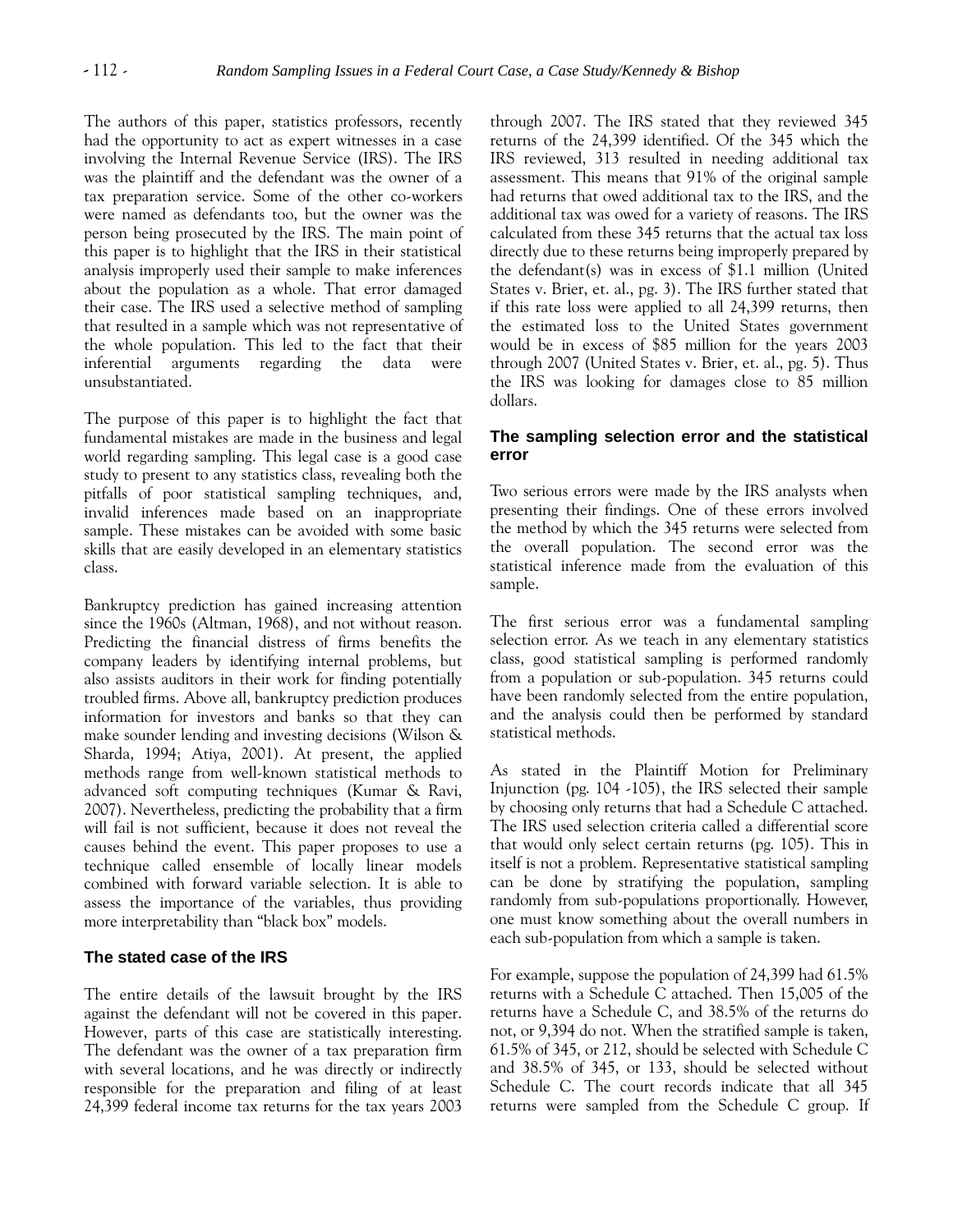The authors of this paper, statistics professors, recently had the opportunity to act as expert witnesses in a case involving the Internal Revenue Service (IRS). The IRS was the plaintiff and the defendant was the owner of a tax preparation service. Some of the other co-workers were named as defendants too, but the owner was the person being prosecuted by the IRS. The main point of this paper is to highlight that the IRS in their statistical analysis improperly used their sample to make inferences about the population as a whole. That error damaged their case. The IRS used a selective method of sampling that resulted in a sample which was not representative of the whole population. This led to the fact that their inferential arguments regarding the data were unsubstantiated.

The purpose of this paper is to highlight the fact that fundamental mistakes are made in the business and legal world regarding sampling. This legal case is a good case study to present to any statistics class, revealing both the pitfalls of poor statistical sampling techniques, and, invalid inferences made based on an inappropriate sample. These mistakes can be avoided with some basic skills that are easily developed in an elementary statistics class.

Bankruptcy prediction has gained increasing attention since the 1960s (Altman, 1968), and not without reason. Predicting the financial distress of firms benefits the company leaders by identifying internal problems, but also assists auditors in their work for finding potentially troubled firms. Above all, bankruptcy prediction produces information for investors and banks so that they can make sounder lending and investing decisions (Wilson & Sharda, 1994; Atiya, 2001). At present, the applied methods range from well-known statistical methods to advanced soft computing techniques (Kumar & Ravi, 2007). Nevertheless, predicting the probability that a firm will fail is not sufficient, because it does not reveal the causes behind the event. This paper proposes to use a technique called ensemble of locally linear models combined with forward variable selection. It is able to assess the importance of the variables, thus providing more interpretability than "black box" models.

## **The stated case of the IRS**

The entire details of the lawsuit brought by the IRS against the defendant will not be covered in this paper. However, parts of this case are statistically interesting. The defendant was the owner of a tax preparation firm with several locations, and he was directly or indirectly responsible for the preparation and filing of at least 24,399 federal income tax returns for the tax years 2003 through 2007. The IRS stated that they reviewed 345 returns of the 24,399 identified. Of the 345 which the IRS reviewed, 313 resulted in needing additional tax assessment. This means that 91% of the original sample had returns that owed additional tax to the IRS, and the additional tax was owed for a variety of reasons. The IRS calculated from these 345 returns that the actual tax loss directly due to these returns being improperly prepared by the defendant(s) was in excess of \$1.1 million (United States v. Brier, et. al., pg. 3). The IRS further stated that if this rate loss were applied to all 24,399 returns, then the estimated loss to the United States government would be in excess of \$85 million for the years 2003 through 2007 (United States v. Brier, et. al., pg. 5). Thus the IRS was looking for damages close to 85 million dollars.

## **The sampling selection error and the statistical error**

Two serious errors were made by the IRS analysts when presenting their findings. One of these errors involved the method by which the 345 returns were selected from the overall population. The second error was the statistical inference made from the evaluation of this sample.

The first serious error was a fundamental sampling selection error. As we teach in any elementary statistics class, good statistical sampling is performed randomly from a population or sub-population. 345 returns could have been randomly selected from the entire population, and the analysis could then be performed by standard statistical methods.

As stated in the Plaintiff Motion for Preliminary Injunction (pg. 104 -105), the IRS selected their sample by choosing only returns that had a Schedule C attached. The IRS used selection criteria called a differential score that would only select certain returns (pg. 105). This in itself is not a problem. Representative statistical sampling can be done by stratifying the population, sampling randomly from sub-populations proportionally. However, one must know something about the overall numbers in each sub-population from which a sample is taken.

For example, suppose the population of 24,399 had 61.5% returns with a Schedule C attached. Then 15,005 of the returns have a Schedule C, and 38.5% of the returns do not, or 9,394 do not. When the stratified sample is taken, 61.5% of 345, or 212, should be selected with Schedule C and 38.5% of 345, or 133, should be selected without Schedule C. The court records indicate that all 345 returns were sampled from the Schedule C group. If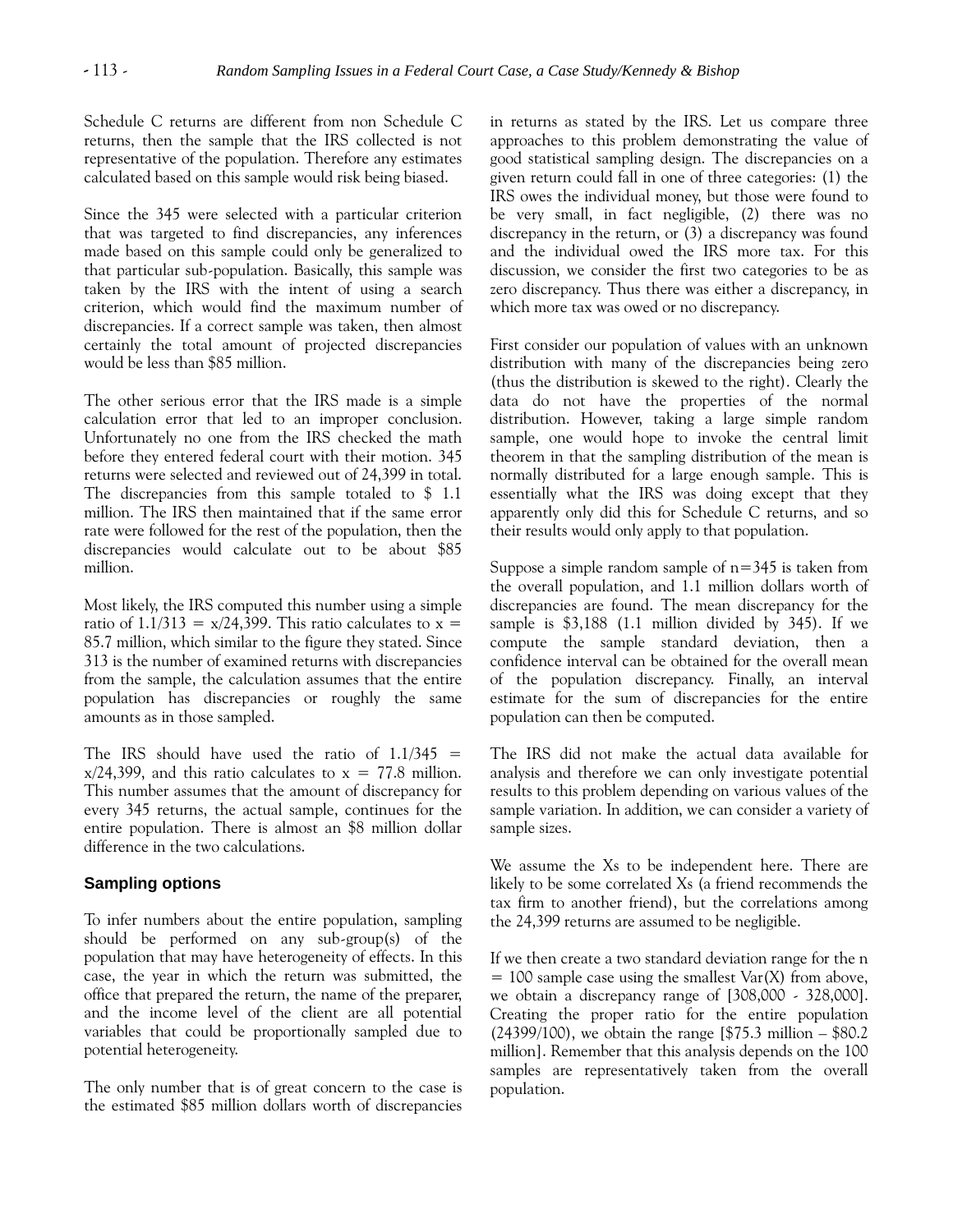Schedule C returns are different from non Schedule C returns, then the sample that the IRS collected is not representative of the population. Therefore any estimates calculated based on this sample would risk being biased.

Since the 345 were selected with a particular criterion that was targeted to find discrepancies, any inferences made based on this sample could only be generalized to that particular sub-population. Basically, this sample was taken by the IRS with the intent of using a search criterion, which would find the maximum number of discrepancies. If a correct sample was taken, then almost certainly the total amount of projected discrepancies would be less than \$85 million.

The other serious error that the IRS made is a simple calculation error that led to an improper conclusion. Unfortunately no one from the IRS checked the math before they entered federal court with their motion. 345 returns were selected and reviewed out of 24,399 in total. The discrepancies from this sample totaled to \$ 1.1 million. The IRS then maintained that if the same error rate were followed for the rest of the population, then the discrepancies would calculate out to be about \$85 million.

Most likely, the IRS computed this number using a simple ratio of  $1.1/313 = x/24,399$ . This ratio calculates to  $x =$ 85.7 million, which similar to the figure they stated. Since 313 is the number of examined returns with discrepancies from the sample, the calculation assumes that the entire population has discrepancies or roughly the same amounts as in those sampled.

The IRS should have used the ratio of  $1.1/345$  =  $x/24.399$ , and this ratio calculates to  $x = 77.8$  million. This number assumes that the amount of discrepancy for every 345 returns, the actual sample, continues for the entire population. There is almost an \$8 million dollar difference in the two calculations.

## **Sampling options**

To infer numbers about the entire population, sampling should be performed on any sub-group(s) of the population that may have heterogeneity of effects. In this case, the year in which the return was submitted, the office that prepared the return, the name of the preparer, and the income level of the client are all potential variables that could be proportionally sampled due to potential heterogeneity.

The only number that is of great concern to the case is the estimated \$85 million dollars worth of discrepancies in returns as stated by the IRS. Let us compare three approaches to this problem demonstrating the value of good statistical sampling design. The discrepancies on a given return could fall in one of three categories: (1) the IRS owes the individual money, but those were found to be very small, in fact negligible, (2) there was no discrepancy in the return, or (3) a discrepancy was found and the individual owed the IRS more tax. For this discussion, we consider the first two categories to be as zero discrepancy. Thus there was either a discrepancy, in which more tax was owed or no discrepancy.

First consider our population of values with an unknown distribution with many of the discrepancies being zero (thus the distribution is skewed to the right). Clearly the data do not have the properties of the normal distribution. However, taking a large simple random sample, one would hope to invoke the central limit theorem in that the sampling distribution of the mean is normally distributed for a large enough sample. This is essentially what the IRS was doing except that they apparently only did this for Schedule C returns, and so their results would only apply to that population.

Suppose a simple random sample of  $n=345$  is taken from the overall population, and 1.1 million dollars worth of discrepancies are found. The mean discrepancy for the sample is \$3,188 (1.1 million divided by 345). If we compute the sample standard deviation, then a confidence interval can be obtained for the overall mean of the population discrepancy. Finally, an interval estimate for the sum of discrepancies for the entire population can then be computed.

The IRS did not make the actual data available for analysis and therefore we can only investigate potential results to this problem depending on various values of the sample variation. In addition, we can consider a variety of sample sizes.

We assume the Xs to be independent here. There are likely to be some correlated Xs (a friend recommends the tax firm to another friend), but the correlations among the 24,399 returns are assumed to be negligible.

If we then create a two standard deviation range for the n  $= 100$  sample case using the smallest Var(X) from above, we obtain a discrepancy range of [308,000 - 328,000]. Creating the proper ratio for the entire population (24399/100), we obtain the range [\$75.3 million – \$80.2 million]. Remember that this analysis depends on the 100 samples are representatively taken from the overall population.